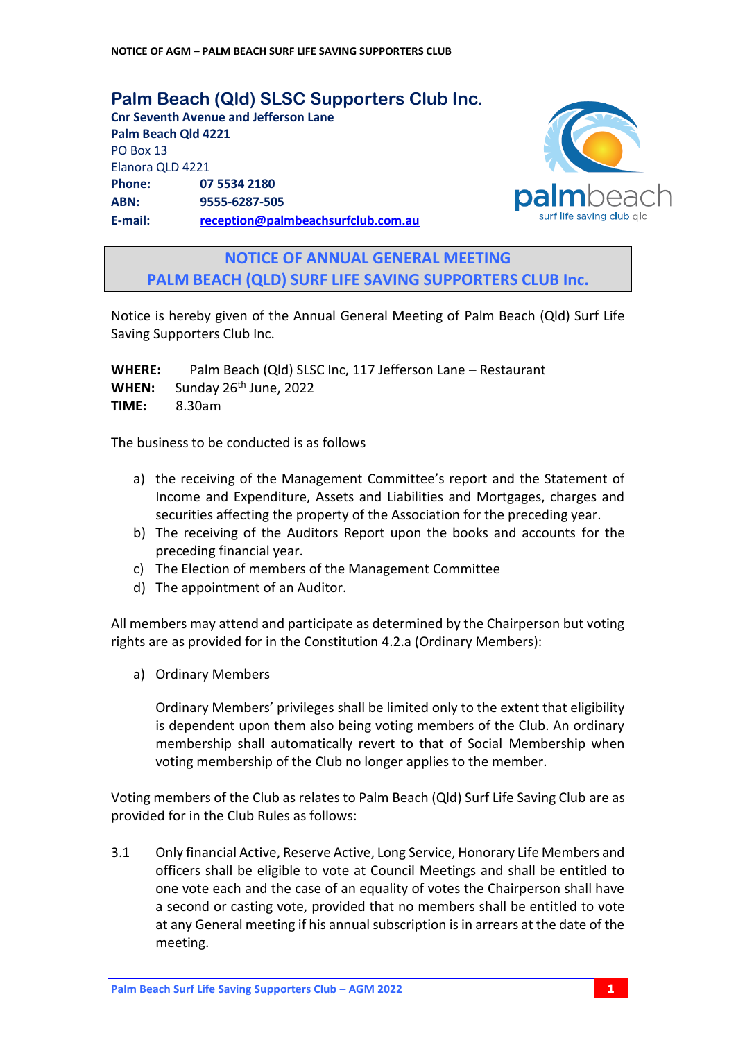**Palm Beach (Qld) SLSC Supporters Club Inc. Cnr Seventh Avenue and Jefferson Lane Palm Beach Qld 4221** PO Box 13 Elanora QLD 4221 **Phone: 07 5534 2180 ABN: 9555-6287-505 E-mail: [reception@palmbeachsurfclub.com.au](mailto:reception@palmbeachsurfclub.com.au)**



**NOTICE OF ANNUAL GENERAL MEETING PALM BEACH (QLD) SURF LIFE SAVING SUPPORTERS CLUB Inc.**

Notice is hereby given of the Annual General Meeting of Palm Beach (Qld) Surf Life Saving Supporters Club Inc.

**WHERE:** Palm Beach (Qld) SLSC Inc, 117 Jefferson Lane – Restaurant WHEN: Sunday 26<sup>th</sup> June, 2022 **TIME:** 8.30am

The business to be conducted is as follows

- a) the receiving of the Management Committee's report and the Statement of Income and Expenditure, Assets and Liabilities and Mortgages, charges and securities affecting the property of the Association for the preceding year.
- b) The receiving of the Auditors Report upon the books and accounts for the preceding financial year.
- c) The Election of members of the Management Committee
- d) The appointment of an Auditor.

All members may attend and participate as determined by the Chairperson but voting rights are as provided for in the Constitution 4.2.a (Ordinary Members):

a) Ordinary Members

Ordinary Members' privileges shall be limited only to the extent that eligibility is dependent upon them also being voting members of the Club. An ordinary membership shall automatically revert to that of Social Membership when voting membership of the Club no longer applies to the member.

Voting members of the Club as relates to Palm Beach (Qld) Surf Life Saving Club are as provided for in the Club Rules as follows:

3.1 Only financial Active, Reserve Active, Long Service, Honorary Life Members and officers shall be eligible to vote at Council Meetings and shall be entitled to one vote each and the case of an equality of votes the Chairperson shall have a second or casting vote, provided that no members shall be entitled to vote at any General meeting if his annual subscription is in arrears at the date of the meeting.